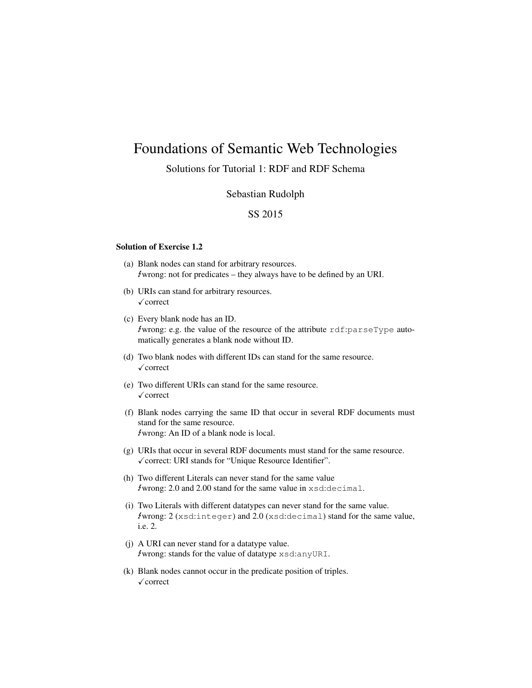# Foundations of Semantic Web Technologies

# Solutions for Tutorial 1: RDF and RDF Schema

### Sebastian Rudolph

## SS 2015

#### Solution of Exercise 1.2

- (a) Blank nodes can stand for arbitrary resources.  $\ell$ wrong: not for predicates – they always have to be defined by an URI.
- (b) URIs can stand for arbitrary resources.  $\sqrt{\text{correct}}$
- (c) Every blank node has an ID. Ewrong: e.g. the value of the resource of the attribute rdf:parseType automatically generates a blank node without ID.
- (d) Two blank nodes with different IDs can stand for the same resource.  $\sqrt{\text{correct}}$
- (e) Two different URIs can stand for the same resource.  $\sqrt{\text{correct}}$
- (f) Blank nodes carrying the same ID that occur in several RDF documents must stand for the same resource. Ewrong: An ID of a blank node is local.
- (g) URIs that occur in several RDF documents must stand for the same resource. √ correct: URI stands for "Unique Resource Identifier".
- (h) Two different Literals can never stand for the same value  $\ell$ wrong: 2.0 and 2.00 stand for the same value in  $x$ sd:decimal.
- (i) Two Literals with different datatypes can never stand for the same value. Ewrong: 2 (xsd:integer) and 2.0 (xsd:decimal) stand for the same value, i.e. 2.
- (j) A URI can never stand for a datatype value. Ewrong: stands for the value of datatype xsd:anyURI.
- (k) Blank nodes cannot occur in the predicate position of triples.  $\checkmark$  correct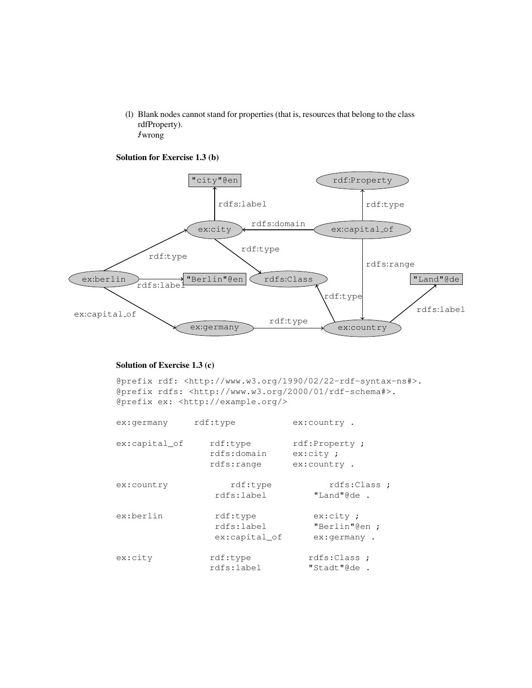(l) Blank nodes cannot stand for properties (that is, resources that belong to the class rdfProperty). Ewrong

Solution for Exercise 1.3 (b)



#### Solution of Exercise 1.3 (c)

@prefix rdf: <http://www.w3.org/1990/02/22-rdf-syntax-ns#>. @prefix rdfs: <http://www.w3.org/2000/01/rdf-schema#>. @prefix ex: <http://example.org/>

| ex:germany    | rdf:type                                | ex:country.                              |
|---------------|-----------------------------------------|------------------------------------------|
| ex:capital of | rdf:type<br>rdfs:domain<br>rdfs:range   | rdf:Property;<br>ex:city:<br>ex:country. |
| ex:country    | rdf:type<br>rdfs:label                  | rdfs:Class ;<br>"Land"@de .              |
| ex:berlin     | rdf:type<br>rdfs:label<br>ex:capital of | ex:city:<br>"Berlin"@en ;<br>ex:germany. |
| ex:city       | rdf:type<br>rdfs:label                  | rdfs:Class ;<br>"Stadt"@de.              |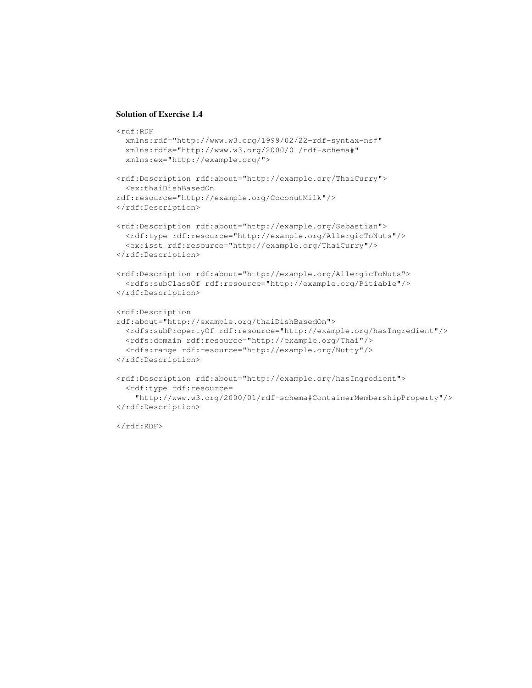#### Solution of Exercise 1.4

```
<rdf:RDF
 xmlns:rdf="http://www.w3.org/1999/02/22-rdf-syntax-ns#"
 xmlns:rdfs="http://www.w3.org/2000/01/rdf-schema#"
 xmlns:ex="http://example.org/">
<rdf:Description rdf:about="http://example.org/ThaiCurry">
  <ex:thaiDishBasedOn
rdf:resource="http://example.org/CoconutMilk"/>
</rdf:Description>
<rdf:Description rdf:about="http://example.org/Sebastian">
  <rdf:type rdf:resource="http://example.org/AllergicToNuts"/>
  <ex:isst rdf:resource="http://example.org/ThaiCurry"/>
</rdf:Description>
<rdf:Description rdf:about="http://example.org/AllergicToNuts">
  <rdfs:subClassOf rdf:resource="http://example.org/Pitiable"/>
</rdf:Description>
<rdf:Description
rdf:about="http://example.org/thaiDishBasedOn">
  <rdfs:subPropertyOf rdf:resource="http://example.org/hasIngredient"/>
 <rdfs:domain rdf:resource="http://example.org/Thai"/>
  <rdfs:range rdf:resource="http://example.org/Nutty"/>
</rdf:Description>
<rdf:Description rdf:about="http://example.org/hasIngredient">
  <rdf:type rdf:resource=
    "http://www.w3.org/2000/01/rdf-schema#ContainerMembershipProperty"/>
</rdf:Description>
```
 $\langle$ rdf:RDF>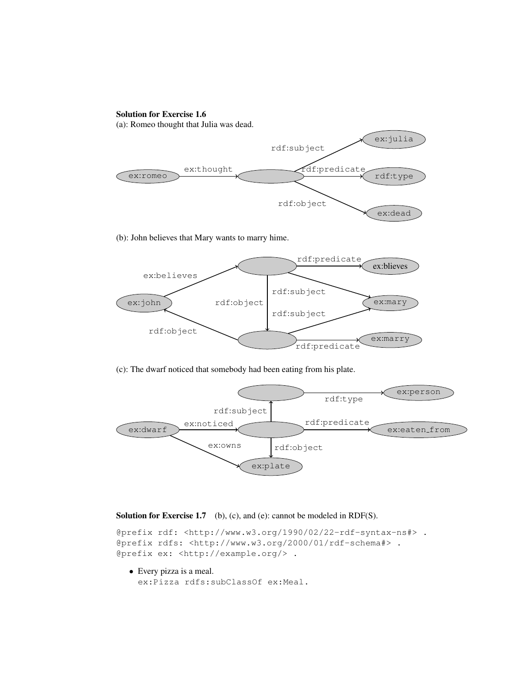# Solution for Exercise 1.6

(a): Romeo thought that Julia was dead.



(b): John believes that Mary wants to marry hime.



(c): The dwarf noticed that somebody had been eating from his plate.



#### Solution for Exercise 1.7 (b), (c), and (e): cannot be modeled in RDF(S).

```
@prefix rdf: <http://www.w3.org/1990/02/22-rdf-syntax-ns#> .
@prefix rdfs: <http://www.w3.org/2000/01/rdf-schema#> .
@prefix ex: <http://example.org/> .
```
• Every pizza is a meal.

ex:Pizza rdfs:subClassOf ex:Meal.